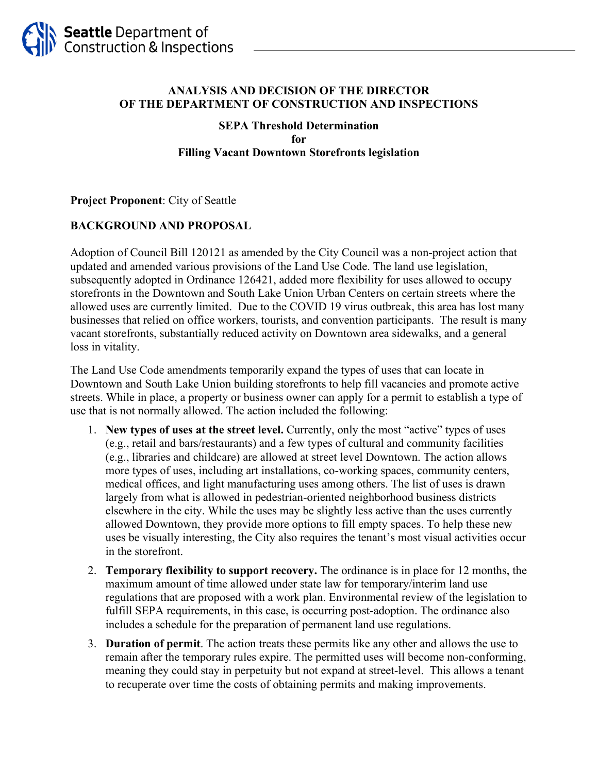

### **ANALYSIS AND DECISION OF THE DIRECTOR OF THE DEPARTMENT OF CONSTRUCTION AND INSPECTIONS**

### **SEPA Threshold Determination for Filling Vacant Downtown Storefronts legislation**

### **Project Proponent**: City of Seattle

### **BACKGROUND AND PROPOSAL**

Adoption of Council Bill 120121 as amended by the City Council was a non-project action that updated and amended various provisions of the Land Use Code. The land use legislation, subsequently adopted in Ordinance 126421, added more flexibility for uses allowed to occupy storefronts in the Downtown and South Lake Union Urban Centers on certain streets where the allowed uses are currently limited. Due to the COVID 19 virus outbreak, this area has lost many businesses that relied on office workers, tourists, and convention participants. The result is many vacant storefronts, substantially reduced activity on Downtown area sidewalks, and a general loss in vitality.

The Land Use Code amendments temporarily expand the types of uses that can locate in Downtown and South Lake Union building storefronts to help fill vacancies and promote active streets. While in place, a property or business owner can apply for a permit to establish a type of use that is not normally allowed. The action included the following:

- 1. **New types of uses at the street level.** Currently, only the most "active" types of uses (e.g., retail and bars/restaurants) and a few types of cultural and community facilities (e.g., libraries and childcare) are allowed at street level Downtown. The action allows more types of uses, including art installations, co-working spaces, community centers, medical offices, and light manufacturing uses among others. The list of uses is drawn largely from what is allowed in pedestrian-oriented neighborhood business districts elsewhere in the city. While the uses may be slightly less active than the uses currently allowed Downtown, they provide more options to fill empty spaces. To help these new uses be visually interesting, the City also requires the tenant's most visual activities occur in the storefront.
- 2. **Temporary flexibility to support recovery.** The ordinance is in place for 12 months, the maximum amount of time allowed under state law for temporary/interim land use regulations that are proposed with a work plan. Environmental review of the legislation to fulfill SEPA requirements, in this case, is occurring post-adoption. The ordinance also includes a schedule for the preparation of permanent land use regulations.
- 3. **Duration of permit**. The action treats these permits like any other and allows the use to remain after the temporary rules expire. The permitted uses will become non-conforming, meaning they could stay in perpetuity but not expand at street-level. This allows a tenant to recuperate over time the costs of obtaining permits and making improvements.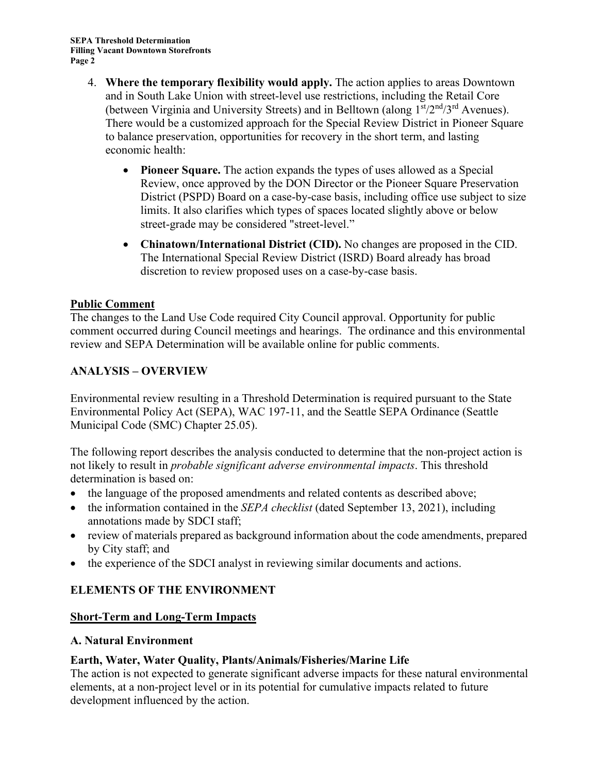- 4. **Where the temporary flexibility would apply.** The action applies to areas Downtown and in South Lake Union with street-level use restrictions, including the Retail Core (between Virginia and University Streets) and in Belltown (along  $1<sup>st</sup>/2<sup>nd</sup>/3<sup>rd</sup>$  Avenues). There would be a customized approach for the Special Review District in Pioneer Square to balance preservation, opportunities for recovery in the short term, and lasting economic health:
	- **Pioneer Square.** The action expands the types of uses allowed as a Special Review, once approved by the DON Director or the Pioneer Square Preservation District (PSPD) Board on a case-by-case basis, including office use subject to size limits. It also clarifies which types of spaces located slightly above or below street-grade may be considered "street-level."
	- **Chinatown/International District (CID).** No changes are proposed in the CID. The International Special Review District (ISRD) Board already has broad discretion to review proposed uses on a case-by-case basis.

## **Public Comment**

The changes to the Land Use Code required City Council approval. Opportunity for public comment occurred during Council meetings and hearings. The ordinance and this environmental review and SEPA Determination will be available online for public comments.

# **ANALYSIS – OVERVIEW**

Environmental review resulting in a Threshold Determination is required pursuant to the State Environmental Policy Act (SEPA), WAC 197-11, and the Seattle SEPA Ordinance (Seattle Municipal Code (SMC) Chapter 25.05).

The following report describes the analysis conducted to determine that the non-project action is not likely to result in *probable significant adverse environmental impacts*. This threshold determination is based on:

- the language of the proposed amendments and related contents as described above;
- the information contained in the *SEPA checklist* (dated September 13, 2021), including annotations made by SDCI staff;
- review of materials prepared as background information about the code amendments, prepared by City staff; and
- the experience of the SDCI analyst in reviewing similar documents and actions.

## **ELEMENTS OF THE ENVIRONMENT**

## **Short-Term and Long-Term Impacts**

## **A. Natural Environment**

## **Earth, Water, Water Quality, Plants/Animals/Fisheries/Marine Life**

The action is not expected to generate significant adverse impacts for these natural environmental elements, at a non-project level or in its potential for cumulative impacts related to future development influenced by the action.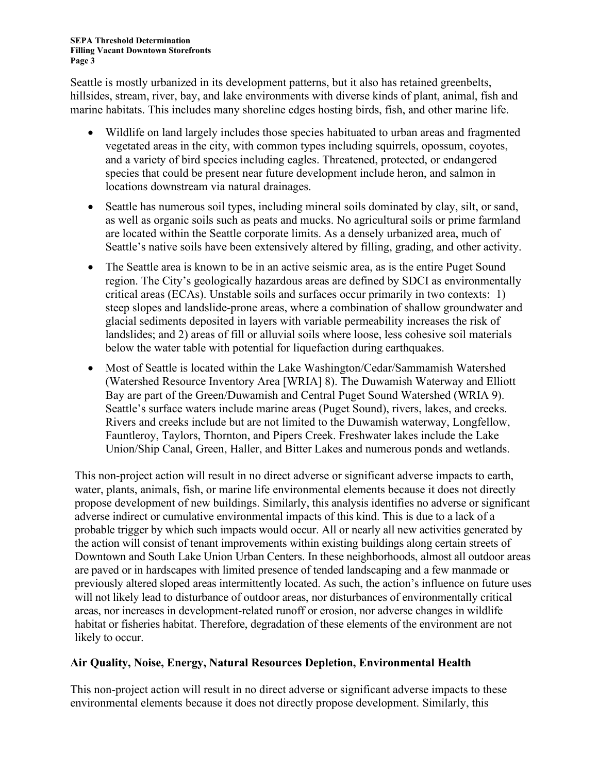Seattle is mostly urbanized in its development patterns, but it also has retained greenbelts, hillsides, stream, river, bay, and lake environments with diverse kinds of plant, animal, fish and marine habitats. This includes many shoreline edges hosting birds, fish, and other marine life.

- Wildlife on land largely includes those species habituated to urban areas and fragmented vegetated areas in the city, with common types including squirrels, opossum, coyotes, and a variety of bird species including eagles. Threatened, protected, or endangered species that could be present near future development include heron, and salmon in locations downstream via natural drainages.
- Seattle has numerous soil types, including mineral soils dominated by clay, silt, or sand, as well as organic soils such as peats and mucks. No agricultural soils or prime farmland are located within the Seattle corporate limits. As a densely urbanized area, much of Seattle's native soils have been extensively altered by filling, grading, and other activity.
- The Seattle area is known to be in an active seismic area, as is the entire Puget Sound region. The City's geologically hazardous areas are defined by SDCI as environmentally critical areas (ECAs). Unstable soils and surfaces occur primarily in two contexts: 1) steep slopes and landslide-prone areas, where a combination of shallow groundwater and glacial sediments deposited in layers with variable permeability increases the risk of landslides; and 2) areas of fill or alluvial soils where loose, less cohesive soil materials below the water table with potential for liquefaction during earthquakes.
- Most of Seattle is located within the Lake Washington/Cedar/Sammamish Watershed (Watershed Resource Inventory Area [WRIA] 8). The Duwamish Waterway and Elliott Bay are part of the Green/Duwamish and Central Puget Sound Watershed (WRIA 9). Seattle's surface waters include marine areas (Puget Sound), rivers, lakes, and creeks. Rivers and creeks include but are not limited to the Duwamish waterway, Longfellow, Fauntleroy, Taylors, Thornton, and Pipers Creek. Freshwater lakes include the Lake Union/Ship Canal, Green, Haller, and Bitter Lakes and numerous ponds and wetlands.

This non-project action will result in no direct adverse or significant adverse impacts to earth, water, plants, animals, fish, or marine life environmental elements because it does not directly propose development of new buildings. Similarly, this analysis identifies no adverse or significant adverse indirect or cumulative environmental impacts of this kind. This is due to a lack of a probable trigger by which such impacts would occur. All or nearly all new activities generated by the action will consist of tenant improvements within existing buildings along certain streets of Downtown and South Lake Union Urban Centers. In these neighborhoods, almost all outdoor areas are paved or in hardscapes with limited presence of tended landscaping and a few manmade or previously altered sloped areas intermittently located. As such, the action's influence on future uses will not likely lead to disturbance of outdoor areas, nor disturbances of environmentally critical areas, nor increases in development-related runoff or erosion, nor adverse changes in wildlife habitat or fisheries habitat. Therefore, degradation of these elements of the environment are not likely to occur.

### **Air Quality, Noise, Energy, Natural Resources Depletion, Environmental Health**

This non-project action will result in no direct adverse or significant adverse impacts to these environmental elements because it does not directly propose development. Similarly, this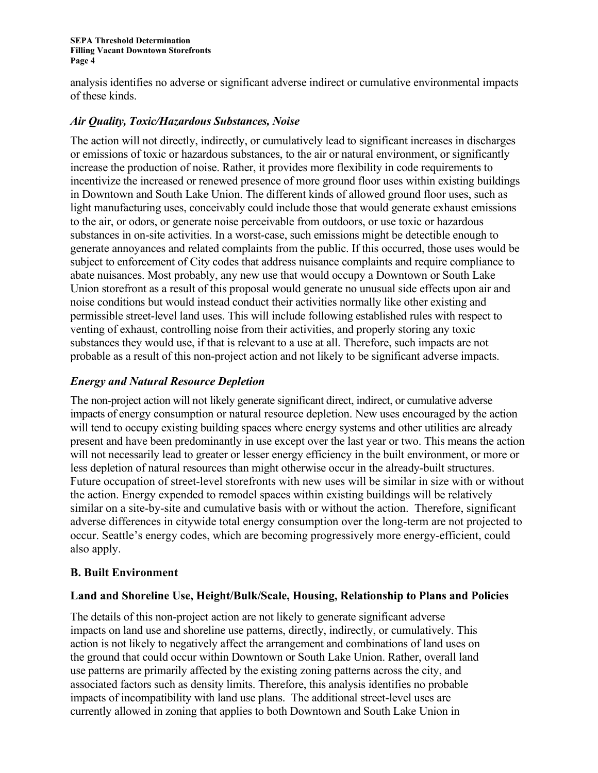analysis identifies no adverse or significant adverse indirect or cumulative environmental impacts of these kinds.

### *Air Quality, Toxic/Hazardous Substances, Noise*

The action will not directly, indirectly, or cumulatively lead to significant increases in discharges or emissions of toxic or hazardous substances, to the air or natural environment, or significantly increase the production of noise. Rather, it provides more flexibility in code requirements to incentivize the increased or renewed presence of more ground floor uses within existing buildings in Downtown and South Lake Union. The different kinds of allowed ground floor uses, such as light manufacturing uses, conceivably could include those that would generate exhaust emissions to the air, or odors, or generate noise perceivable from outdoors, or use toxic or hazardous substances in on-site activities. In a worst-case, such emissions might be detectible enough to generate annoyances and related complaints from the public. If this occurred, those uses would be subject to enforcement of City codes that address nuisance complaints and require compliance to abate nuisances. Most probably, any new use that would occupy a Downtown or South Lake Union storefront as a result of this proposal would generate no unusual side effects upon air and noise conditions but would instead conduct their activities normally like other existing and permissible street-level land uses. This will include following established rules with respect to venting of exhaust, controlling noise from their activities, and properly storing any toxic substances they would use, if that is relevant to a use at all. Therefore, such impacts are not probable as a result of this non-project action and not likely to be significant adverse impacts.

### *Energy and Natural Resource Depletion*

The non-project action will not likely generate significant direct, indirect, or cumulative adverse impacts of energy consumption or natural resource depletion. New uses encouraged by the action will tend to occupy existing building spaces where energy systems and other utilities are already present and have been predominantly in use except over the last year or two. This means the action will not necessarily lead to greater or lesser energy efficiency in the built environment, or more or less depletion of natural resources than might otherwise occur in the already-built structures. Future occupation of street-level storefronts with new uses will be similar in size with or without the action. Energy expended to remodel spaces within existing buildings will be relatively similar on a site-by-site and cumulative basis with or without the action. Therefore, significant adverse differences in citywide total energy consumption over the long-term are not projected to occur. Seattle's energy codes, which are becoming progressively more energy-efficient, could also apply.

### **B. Built Environment**

### **Land and Shoreline Use, Height/Bulk/Scale, Housing, Relationship to Plans and Policies**

The details of this non-project action are not likely to generate significant adverse impacts on land use and shoreline use patterns, directly, indirectly, or cumulatively. This action is not likely to negatively affect the arrangement and combinations of land uses on the ground that could occur within Downtown or South Lake Union. Rather, overall land use patterns are primarily affected by the existing zoning patterns across the city, and associated factors such as density limits. Therefore, this analysis identifies no probable impacts of incompatibility with land use plans. The additional street-level uses are currently allowed in zoning that applies to both Downtown and South Lake Union in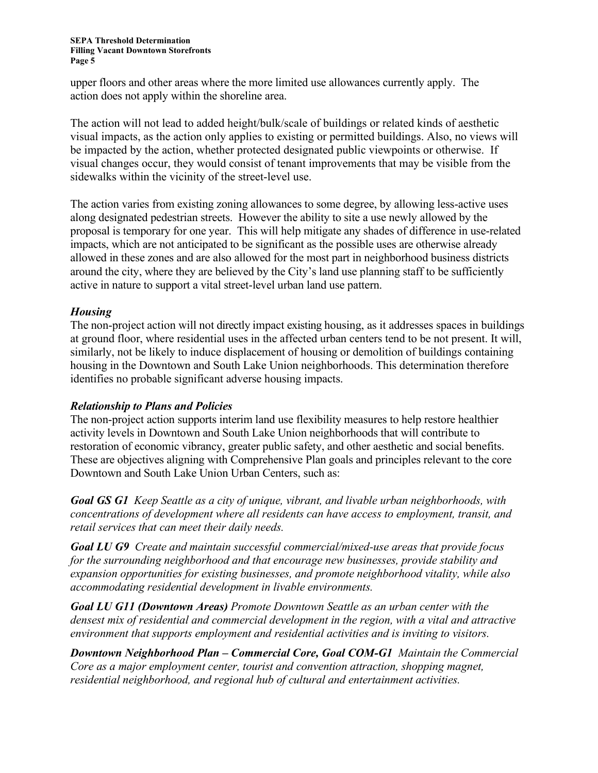upper floors and other areas where the more limited use allowances currently apply. The action does not apply within the shoreline area.

The action will not lead to added height/bulk/scale of buildings or related kinds of aesthetic visual impacts, as the action only applies to existing or permitted buildings. Also, no views will be impacted by the action, whether protected designated public viewpoints or otherwise. If visual changes occur, they would consist of tenant improvements that may be visible from the sidewalks within the vicinity of the street-level use.

The action varies from existing zoning allowances to some degree, by allowing less-active uses along designated pedestrian streets. However the ability to site a use newly allowed by the proposal is temporary for one year. This will help mitigate any shades of difference in use-related impacts, which are not anticipated to be significant as the possible uses are otherwise already allowed in these zones and are also allowed for the most part in neighborhood business districts around the city, where they are believed by the City's land use planning staff to be sufficiently active in nature to support a vital street-level urban land use pattern.

### *Housing*

The non-project action will not directly impact existing housing, as it addresses spaces in buildings at ground floor, where residential uses in the affected urban centers tend to be not present. It will, similarly, not be likely to induce displacement of housing or demolition of buildings containing housing in the Downtown and South Lake Union neighborhoods. This determination therefore identifies no probable significant adverse housing impacts.

### *Relationship to Plans and Policies*

The non-project action supports interim land use flexibility measures to help restore healthier activity levels in Downtown and South Lake Union neighborhoods that will contribute to restoration of economic vibrancy, greater public safety, and other aesthetic and social benefits. These are objectives aligning with Comprehensive Plan goals and principles relevant to the core Downtown and South Lake Union Urban Centers, such as:

*Goal GS G1 Keep Seattle as a city of unique, vibrant, and livable urban neighborhoods, with concentrations of development where all residents can have access to employment, transit, and retail services that can meet their daily needs.*

*Goal LU G9 Create and maintain successful commercial/mixed-use areas that provide focus for the surrounding neighborhood and that encourage new businesses, provide stability and expansion opportunities for existing businesses, and promote neighborhood vitality, while also accommodating residential development in livable environments.*

*Goal LU G11 (Downtown Areas) Promote Downtown Seattle as an urban center with the densest mix of residential and commercial development in the region, with a vital and attractive environment that supports employment and residential activities and is inviting to visitors.*

*Downtown Neighborhood Plan – Commercial Core, Goal COM-G1 Maintain the Commercial Core as a major employment center, tourist and convention attraction, shopping magnet, residential neighborhood, and regional hub of cultural and entertainment activities.*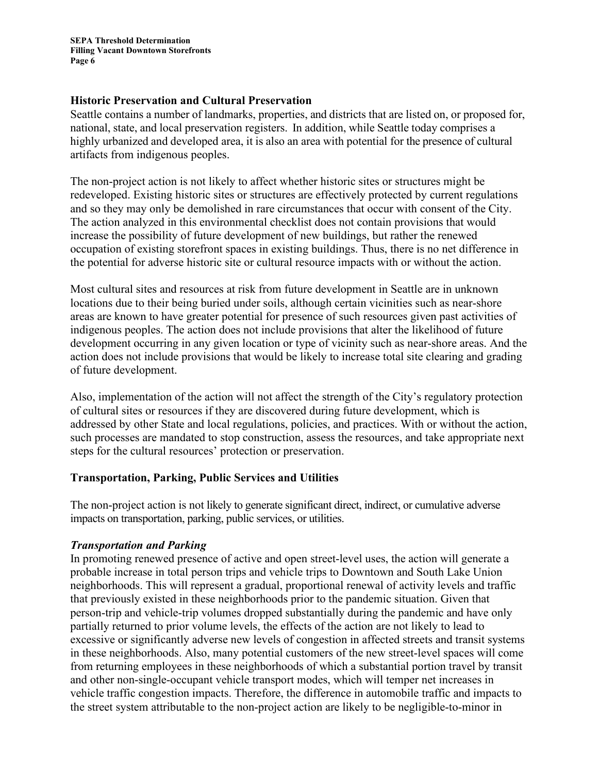**SEPA Threshold Determination Filling Vacant Downtown Storefronts Page 6**

#### **Historic Preservation and Cultural Preservation**

Seattle contains a number of landmarks, properties, and districts that are listed on, or proposed for, national, state, and local preservation registers. In addition, while Seattle today comprises a highly urbanized and developed area, it is also an area with potential for the presence of cultural artifacts from indigenous peoples.

The non-project action is not likely to affect whether historic sites or structures might be redeveloped. Existing historic sites or structures are effectively protected by current regulations and so they may only be demolished in rare circumstances that occur with consent of the City. The action analyzed in this environmental checklist does not contain provisions that would increase the possibility of future development of new buildings, but rather the renewed occupation of existing storefront spaces in existing buildings. Thus, there is no net difference in the potential for adverse historic site or cultural resource impacts with or without the action.

Most cultural sites and resources at risk from future development in Seattle are in unknown locations due to their being buried under soils, although certain vicinities such as near-shore areas are known to have greater potential for presence of such resources given past activities of indigenous peoples. The action does not include provisions that alter the likelihood of future development occurring in any given location or type of vicinity such as near-shore areas. And the action does not include provisions that would be likely to increase total site clearing and grading of future development.

Also, implementation of the action will not affect the strength of the City's regulatory protection of cultural sites or resources if they are discovered during future development, which is addressed by other State and local regulations, policies, and practices. With or without the action, such processes are mandated to stop construction, assess the resources, and take appropriate next steps for the cultural resources' protection or preservation.

### **Transportation, Parking, Public Services and Utilities**

The non-project action is not likely to generate significant direct, indirect, or cumulative adverse impacts on transportation, parking, public services, or utilities.

### *Transportation and Parking*

In promoting renewed presence of active and open street-level uses, the action will generate a probable increase in total person trips and vehicle trips to Downtown and South Lake Union neighborhoods. This will represent a gradual, proportional renewal of activity levels and traffic that previously existed in these neighborhoods prior to the pandemic situation. Given that person-trip and vehicle-trip volumes dropped substantially during the pandemic and have only partially returned to prior volume levels, the effects of the action are not likely to lead to excessive or significantly adverse new levels of congestion in affected streets and transit systems in these neighborhoods. Also, many potential customers of the new street-level spaces will come from returning employees in these neighborhoods of which a substantial portion travel by transit and other non-single-occupant vehicle transport modes, which will temper net increases in vehicle traffic congestion impacts. Therefore, the difference in automobile traffic and impacts to the street system attributable to the non-project action are likely to be negligible-to-minor in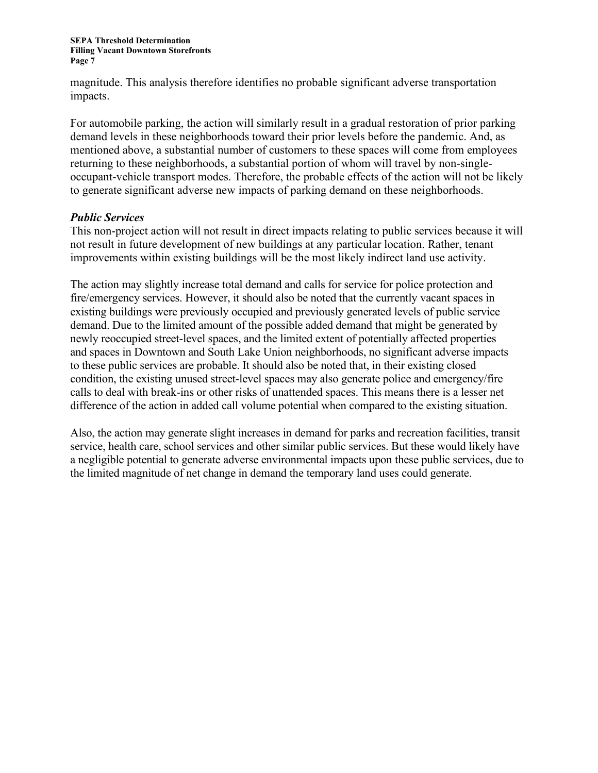magnitude. This analysis therefore identifies no probable significant adverse transportation impacts.

For automobile parking, the action will similarly result in a gradual restoration of prior parking demand levels in these neighborhoods toward their prior levels before the pandemic. And, as mentioned above, a substantial number of customers to these spaces will come from employees returning to these neighborhoods, a substantial portion of whom will travel by non-singleoccupant-vehicle transport modes. Therefore, the probable effects of the action will not be likely to generate significant adverse new impacts of parking demand on these neighborhoods.

### *Public Services*

This non-project action will not result in direct impacts relating to public services because it will not result in future development of new buildings at any particular location. Rather, tenant improvements within existing buildings will be the most likely indirect land use activity.

The action may slightly increase total demand and calls for service for police protection and fire/emergency services. However, it should also be noted that the currently vacant spaces in existing buildings were previously occupied and previously generated levels of public service demand. Due to the limited amount of the possible added demand that might be generated by newly reoccupied street-level spaces, and the limited extent of potentially affected properties and spaces in Downtown and South Lake Union neighborhoods, no significant adverse impacts to these public services are probable. It should also be noted that, in their existing closed condition, the existing unused street-level spaces may also generate police and emergency/fire calls to deal with break-ins or other risks of unattended spaces. This means there is a lesser net difference of the action in added call volume potential when compared to the existing situation.

Also, the action may generate slight increases in demand for parks and recreation facilities, transit service, health care, school services and other similar public services. But these would likely have a negligible potential to generate adverse environmental impacts upon these public services, due to the limited magnitude of net change in demand the temporary land uses could generate.